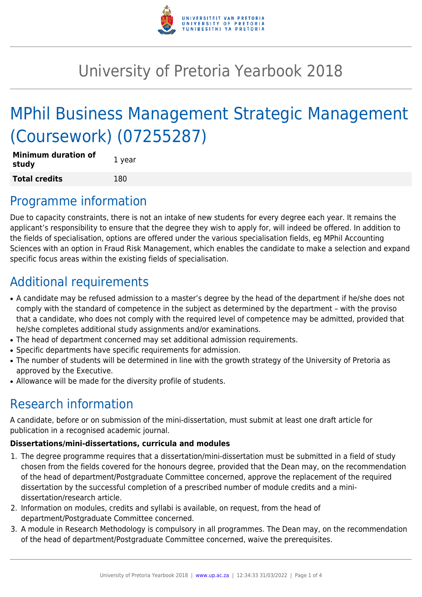

# University of Pretoria Yearbook 2018

# MPhil Business Management Strategic Management (Coursework) (07255287)

| <b>Minimum duration of</b><br>study | 1 year |
|-------------------------------------|--------|
| <b>Total credits</b>                | 180    |

# Programme information

Due to capacity constraints, there is not an intake of new students for every degree each year. It remains the applicant's responsibility to ensure that the degree they wish to apply for, will indeed be offered. In addition to the fields of specialisation, options are offered under the various specialisation fields, eg MPhil Accounting Sciences with an option in Fraud Risk Management, which enables the candidate to make a selection and expand specific focus areas within the existing fields of specialisation.

# Additional requirements

- A candidate may be refused admission to a master's degree by the head of the department if he/she does not comply with the standard of competence in the subject as determined by the department – with the proviso that a candidate, who does not comply with the required level of competence may be admitted, provided that he/she completes additional study assignments and/or examinations.
- The head of department concerned may set additional admission requirements.
- Specific departments have specific requirements for admission.
- The number of students will be determined in line with the growth strategy of the University of Pretoria as approved by the Executive.
- Allowance will be made for the diversity profile of students.

# Research information

A candidate, before or on submission of the mini-dissertation, must submit at least one draft article for publication in a recognised academic journal.

## **Dissertations/mini-dissertations, curricula and modules**

- 1. The degree programme requires that a dissertation/mini-dissertation must be submitted in a field of study chosen from the fields covered for the honours degree, provided that the Dean may, on the recommendation of the head of department/Postgraduate Committee concerned, approve the replacement of the required dissertation by the successful completion of a prescribed number of module credits and a minidissertation/research article.
- 2. Information on modules, credits and syllabi is available, on request, from the head of department/Postgraduate Committee concerned.
- 3. A module in Research Methodology is compulsory in all programmes. The Dean may, on the recommendation of the head of department/Postgraduate Committee concerned, waive the prerequisites.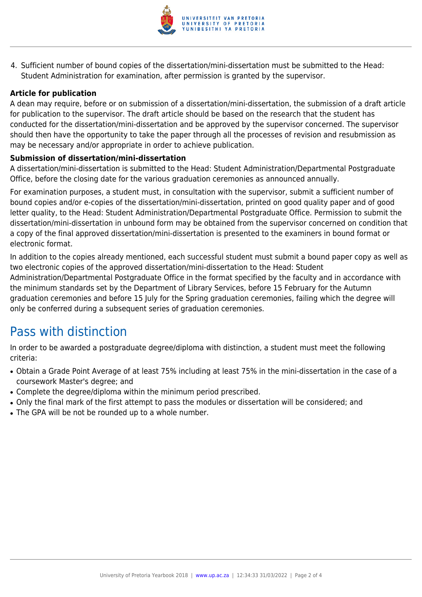

4. Sufficient number of bound copies of the dissertation/mini-dissertation must be submitted to the Head: Student Administration for examination, after permission is granted by the supervisor.

## **Article for publication**

A dean may require, before or on submission of a dissertation/mini-dissertation, the submission of a draft article for publication to the supervisor. The draft article should be based on the research that the student has conducted for the dissertation/mini-dissertation and be approved by the supervisor concerned. The supervisor should then have the opportunity to take the paper through all the processes of revision and resubmission as may be necessary and/or appropriate in order to achieve publication.

## **Submission of dissertation/mini-dissertation**

A dissertation/mini-dissertation is submitted to the Head: Student Administration/Departmental Postgraduate Office, before the closing date for the various graduation ceremonies as announced annually.

For examination purposes, a student must, in consultation with the supervisor, submit a sufficient number of bound copies and/or e-copies of the dissertation/mini-dissertation, printed on good quality paper and of good letter quality, to the Head: Student Administration/Departmental Postgraduate Office. Permission to submit the dissertation/mini-dissertation in unbound form may be obtained from the supervisor concerned on condition that a copy of the final approved dissertation/mini-dissertation is presented to the examiners in bound format or electronic format.

In addition to the copies already mentioned, each successful student must submit a bound paper copy as well as two electronic copies of the approved dissertation/mini-dissertation to the Head: Student Administration/Departmental Postgraduate Office in the format specified by the faculty and in accordance with the minimum standards set by the Department of Library Services, before 15 February for the Autumn graduation ceremonies and before 15 July for the Spring graduation ceremonies, failing which the degree will only be conferred during a subsequent series of graduation ceremonies.

## Pass with distinction

In order to be awarded a postgraduate degree/diploma with distinction, a student must meet the following criteria:

- Obtain a Grade Point Average of at least 75% including at least 75% in the mini-dissertation in the case of a coursework Master's degree; and
- Complete the degree/diploma within the minimum period prescribed.
- Only the final mark of the first attempt to pass the modules or dissertation will be considered; and
- The GPA will be not be rounded up to a whole number.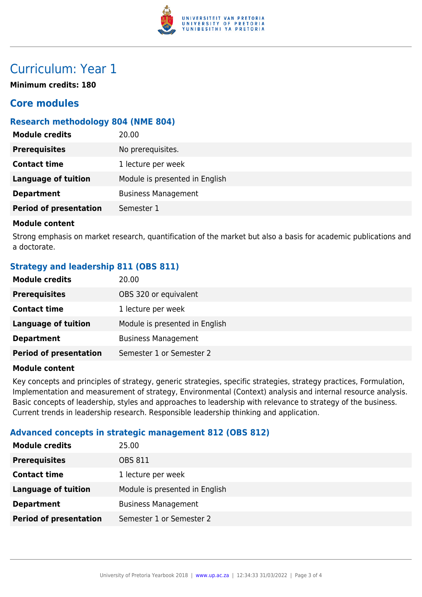

# Curriculum: Year 1

**Minimum credits: 180**

## **Core modules**

## **Research methodology 804 (NME 804)**

| <b>Module credits</b>         | 20.00                          |
|-------------------------------|--------------------------------|
| <b>Prerequisites</b>          | No prerequisites.              |
| <b>Contact time</b>           | 1 lecture per week             |
| <b>Language of tuition</b>    | Module is presented in English |
| <b>Department</b>             | <b>Business Management</b>     |
| <b>Period of presentation</b> | Semester 1                     |

## **Module content**

Strong emphasis on market research, quantification of the market but also a basis for academic publications and a doctorate.

## **Strategy and leadership 811 (OBS 811)**

| <b>Module credits</b>         | 20.00                          |
|-------------------------------|--------------------------------|
| <b>Prerequisites</b>          | OBS 320 or equivalent          |
| <b>Contact time</b>           | 1 lecture per week             |
| <b>Language of tuition</b>    | Module is presented in English |
| <b>Department</b>             | <b>Business Management</b>     |
| <b>Period of presentation</b> | Semester 1 or Semester 2       |

#### **Module content**

Key concepts and principles of strategy, generic strategies, specific strategies, strategy practices, Formulation, Implementation and measurement of strategy, Environmental (Context) analysis and internal resource analysis. Basic concepts of leadership, styles and approaches to leadership with relevance to strategy of the business. Current trends in leadership research. Responsible leadership thinking and application.

## **Advanced concepts in strategic management 812 (OBS 812)**

| <b>Module credits</b>         | 25.00                          |
|-------------------------------|--------------------------------|
| <b>Prerequisites</b>          | OBS 811                        |
| <b>Contact time</b>           | 1 lecture per week             |
| <b>Language of tuition</b>    | Module is presented in English |
| <b>Department</b>             | <b>Business Management</b>     |
| <b>Period of presentation</b> | Semester 1 or Semester 2       |